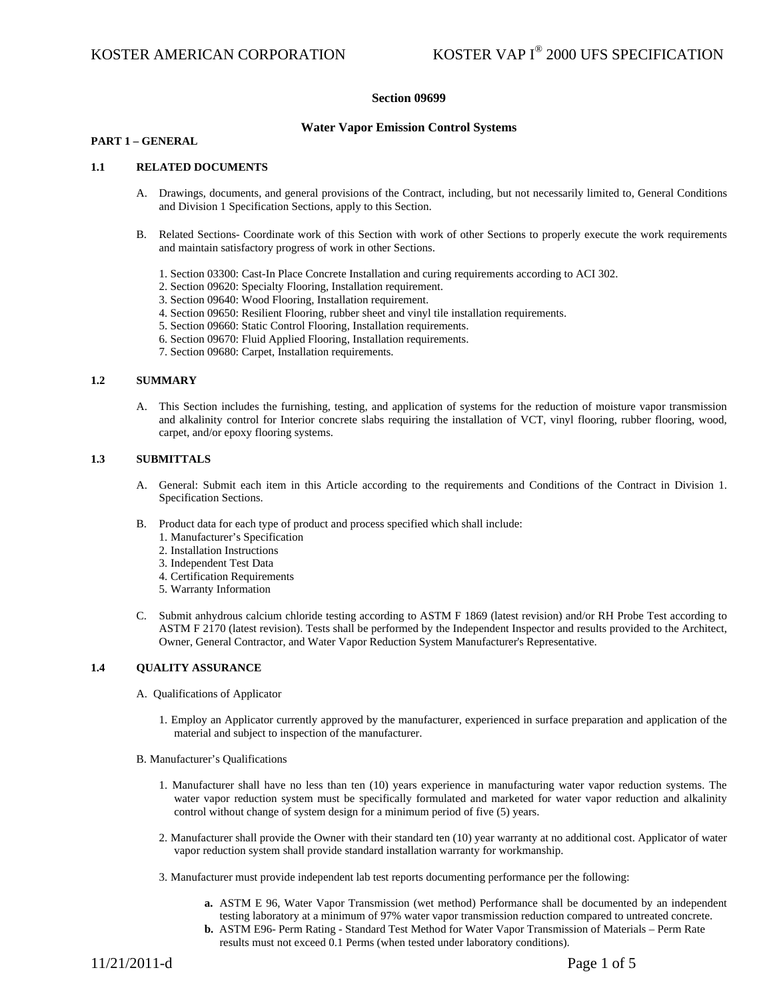## **Section 09699**

### **Water Vapor Emission Control Systems**

## **PART 1 – GENERAL**

#### **1.1 RELATED DOCUMENTS**

- A. Drawings, documents, and general provisions of the Contract, including, but not necessarily limited to, General Conditions and Division 1 Specification Sections, apply to this Section.
- B. Related Sections- Coordinate work of this Section with work of other Sections to properly execute the work requirements and maintain satisfactory progress of work in other Sections.
	- 1. Section 03300: Cast-In Place Concrete Installation and curing requirements according to ACI 302.
	- 2. Section 09620: Specialty Flooring, Installation requirement.
	- 3. Section 09640: Wood Flooring, Installation requirement.
	- 4. Section 09650: Resilient Flooring, rubber sheet and vinyl tile installation requirements.
	- 5. Section 09660: Static Control Flooring, Installation requirements.
	- 6. Section 09670: Fluid Applied Flooring, Installation requirements.
	- 7. Section 09680: Carpet, Installation requirements.

#### **1.2 SUMMARY**

A. This Section includes the furnishing, testing, and application of systems for the reduction of moisture vapor transmission and alkalinity control for Interior concrete slabs requiring the installation of VCT, vinyl flooring, rubber flooring, wood, carpet, and/or epoxy flooring systems.

## **1.3 SUBMITTALS**

- A. General: Submit each item in this Article according to the requirements and Conditions of the Contract in Division 1. Specification Sections.
- B. Product data for each type of product and process specified which shall include:
	- 1. Manufacturer's Specification
	- 2. Installation Instructions
	- 3. Independent Test Data
	- 4. Certification Requirements
	- 5. Warranty Information
- C. Submit anhydrous calcium chloride testing according to ASTM F 1869 (latest revision) and/or RH Probe Test according to ASTM F 2170 (latest revision). Tests shall be performed by the Independent Inspector and results provided to the Architect, Owner, General Contractor, and Water Vapor Reduction System Manufacturer's Representative.

## **1.4 QUALITY ASSURANCE**

- A. Qualifications of Applicator
	- 1. Employ an Applicator currently approved by the manufacturer, experienced in surface preparation and application of the material and subject to inspection of the manufacturer.
- B. Manufacturer's Qualifications
	- 1. Manufacturer shall have no less than ten (10) years experience in manufacturing water vapor reduction systems. The water vapor reduction system must be specifically formulated and marketed for water vapor reduction and alkalinity control without change of system design for a minimum period of five (5) years.
	- 2. Manufacturer shall provide the Owner with their standard ten (10) year warranty at no additional cost. Applicator of water vapor reduction system shall provide standard installation warranty for workmanship.
	- 3. Manufacturer must provide independent lab test reports documenting performance per the following:
		- **a.** ASTM E 96, Water Vapor Transmission (wet method) Performance shall be documented by an independent testing laboratory at a minimum of 97% water vapor transmission reduction compared to untreated concrete.
		- **b.** ASTM E96- Perm Rating Standard Test Method for Water Vapor Transmission of Materials Perm Rate results must not exceed 0.1 Perms (when tested under laboratory conditions).

11/21/2011-d Page 1 of 5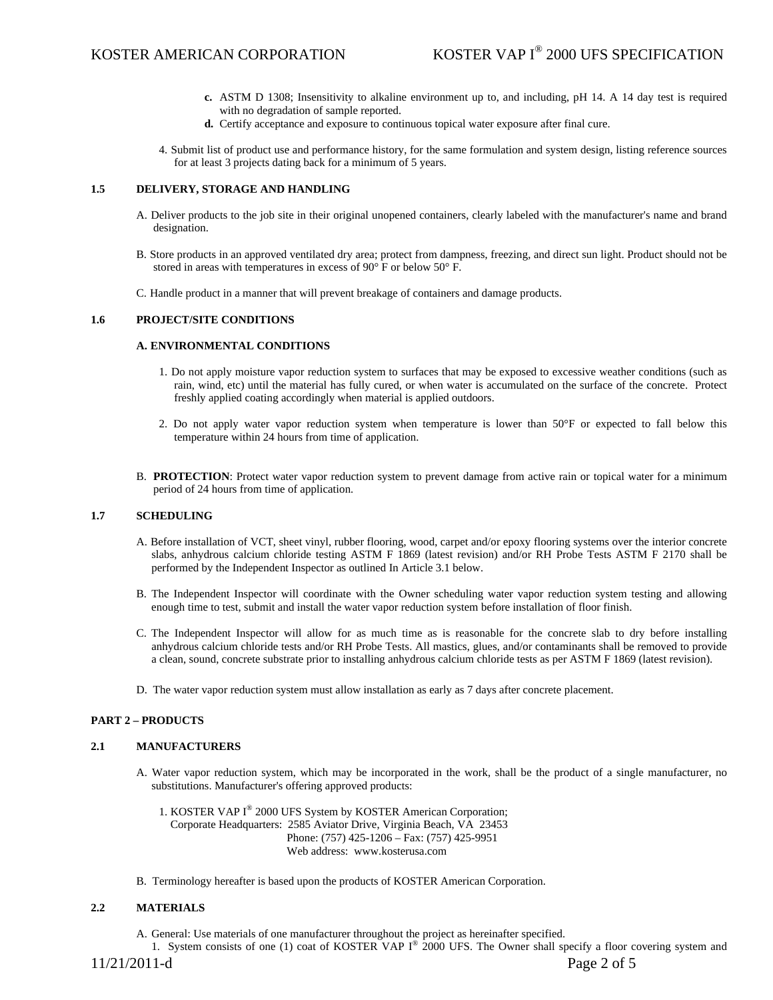- **c.** ASTM D 1308; Insensitivity to alkaline environment up to, and including, pH 14. A 14 day test is required with no degradation of sample reported.
- **d.** Certify acceptance and exposure to continuous topical water exposure after final cure.
- 4. Submit list of product use and performance history, for the same formulation and system design, listing reference sources for at least 3 projects dating back for a minimum of 5 years.

## **1.5 DELIVERY, STORAGE AND HANDLING**

- A. Deliver products to the job site in their original unopened containers, clearly labeled with the manufacturer's name and brand designation.
- B. Store products in an approved ventilated dry area; protect from dampness, freezing, and direct sun light. Product should not be stored in areas with temperatures in excess of 90° F or below 50° F.
- C. Handle product in a manner that will prevent breakage of containers and damage products.

#### **1.6 PROJECT/SITE CONDITIONS**

#### **A. ENVIRONMENTAL CONDITIONS**

- 1. Do not apply moisture vapor reduction system to surfaces that may be exposed to excessive weather conditions (such as rain, wind, etc) until the material has fully cured, or when water is accumulated on the surface of the concrete. Protect freshly applied coating accordingly when material is applied outdoors.
- 2. Do not apply water vapor reduction system when temperature is lower than 50°F or expected to fall below this temperature within 24 hours from time of application.
- B. **PROTECTION**: Protect water vapor reduction system to prevent damage from active rain or topical water for a minimum period of 24 hours from time of application.

#### **1.7 SCHEDULING**

- A. Before installation of VCT, sheet vinyl, rubber flooring, wood, carpet and/or epoxy flooring systems over the interior concrete slabs, anhydrous calcium chloride testing ASTM F 1869 (latest revision) and/or RH Probe Tests ASTM F 2170 shall be performed by the Independent Inspector as outlined In Article 3.1 below.
- B. The Independent Inspector will coordinate with the Owner scheduling water vapor reduction system testing and allowing enough time to test, submit and install the water vapor reduction system before installation of floor finish.
- C. The Independent Inspector will allow for as much time as is reasonable for the concrete slab to dry before installing anhydrous calcium chloride tests and/or RH Probe Tests. All mastics, glues, and/or contaminants shall be removed to provide a clean, sound, concrete substrate prior to installing anhydrous calcium chloride tests as per ASTM F 1869 (latest revision).
- D. The water vapor reduction system must allow installation as early as 7 days after concrete placement.

#### **PART 2 – PRODUCTS**

#### **2.1 MANUFACTURERS**

- A. Water vapor reduction system, which may be incorporated in the work, shall be the product of a single manufacturer, no substitutions. Manufacturer's offering approved products:
	- 1. KOSTER VAP I® 2000 UFS System by KOSTER American Corporation; Corporate Headquarters: 2585 Aviator Drive, Virginia Beach, VA 23453 Phone: (757) 425-1206 – Fax: (757) 425-9951 Web address: www.kosterusa.com
- B. Terminology hereafter is based upon the products of KOSTER American Corporation.

## **2.2 MATERIALS**

A. General: Use materials of one manufacturer throughout the project as hereinafter specified.

1. System consists of one (1) coat of KOSTER VAP I® 2000 UFS. The Owner shall specify a floor covering system and

11/21/2011-d Page 2 of 5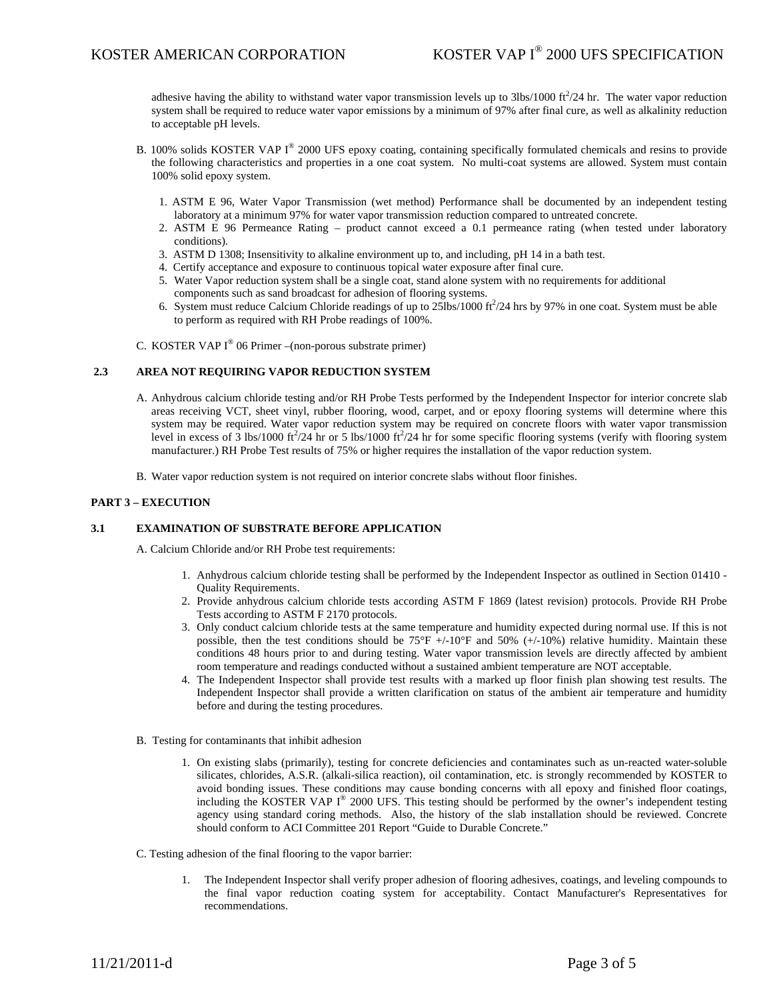adhesive having the ability to withstand water vapor transmission levels up to  $3\text{bs}/1000 \text{ ft}^2/24 \text{ hr}$ . The water vapor reduction system shall be required to reduce water vapor emissions by a minimum of 97% after final cure, as well as alkalinity reduction to acceptable pH levels.

- B. 100% solids KOSTER VAP  $I^{\circledcirc}$  2000 UFS epoxy coating, containing specifically formulated chemicals and resins to provide the following characteristics and properties in a one coat system. No multi-coat systems are allowed. System must contain 100% solid epoxy system.
	- 1. ASTM E 96, Water Vapor Transmission (wet method) Performance shall be documented by an independent testing laboratory at a minimum 97% for water vapor transmission reduction compared to untreated concrete.
	- 2. ASTM E 96 Permeance Rating product cannot exceed a 0.1 permeance rating (when tested under laboratory conditions).
	- 3. ASTM D 1308; Insensitivity to alkaline environment up to, and including, pH 14 in a bath test.
	- 4. Certify acceptance and exposure to continuous topical water exposure after final cure.
	- 5. Water Vapor reduction system shall be a single coat, stand alone system with no requirements for additional components such as sand broadcast for adhesion of flooring systems.
	- 6. System must reduce Calcium Chloride readings of up to  $25$ lbs/1000 ft $^2$ /24 hrs by 97% in one coat. System must be able to perform as required with RH Probe readings of 100%.
- C. KOSTER VAP  $I^{\circledast}$  06 Primer –(non-porous substrate primer)

## **2.3 AREA NOT REQUIRING VAPOR REDUCTION SYSTEM**

- A. Anhydrous calcium chloride testing and/or RH Probe Tests performed by the Independent Inspector for interior concrete slab areas receiving VCT, sheet vinyl, rubber flooring, wood, carpet, and or epoxy flooring systems will determine where this system may be required. Water vapor reduction system may be required on concrete floors with water vapor transmission level in excess of  $\hat{3}$  lbs/1000 ft<sup>2</sup>/24 hr or 5 lbs/1000 ft<sup>2</sup>/24 hr for some specific flooring systems (verify with flooring system manufacturer.) RH Probe Test results of 75% or higher requires the installation of the vapor reduction system.
- B. Water vapor reduction system is not required on interior concrete slabs without floor finishes.

## **PART 3 – EXECUTION**

## **3.1 EXAMINATION OF SUBSTRATE BEFORE APPLICATION**

A. Calcium Chloride and/or RH Probe test requirements:

- 1. Anhydrous calcium chloride testing shall be performed by the Independent Inspector as outlined in Section 01410 Quality Requirements.
- 2. Provide anhydrous calcium chloride tests according ASTM F 1869 (latest revision) protocols. Provide RH Probe Tests according to ASTM F 2170 protocols.
- 3. Only conduct calcium chloride tests at the same temperature and humidity expected during normal use. If this is not possible, then the test conditions should be  $75^{\circ}F$  +/-10°F and 50% (+/-10%) relative humidity. Maintain these conditions 48 hours prior to and during testing. Water vapor transmission levels are directly affected by ambient room temperature and readings conducted without a sustained ambient temperature are NOT acceptable.
- 4. The Independent Inspector shall provide test results with a marked up floor finish plan showing test results. The Independent Inspector shall provide a written clarification on status of the ambient air temperature and humidity before and during the testing procedures.
- B. Testing for contaminants that inhibit adhesion
	- 1. On existing slabs (primarily), testing for concrete deficiencies and contaminates such as un-reacted water-soluble silicates, chlorides, A.S.R. (alkali-silica reaction), oil contamination, etc. is strongly recommended by KOSTER to avoid bonding issues. These conditions may cause bonding concerns with all epoxy and finished floor coatings, including the KOSTER VAP  $I^{\circledast}$  2000 UFS. This testing should be performed by the owner's independent testing agency using standard coring methods. Also, the history of the slab installation should be reviewed. Concrete should conform to ACI Committee 201 Report "Guide to Durable Concrete."
- C. Testing adhesion of the final flooring to the vapor barrier:
	- 1. The Independent Inspector shall verify proper adhesion of flooring adhesives, coatings, and leveling compounds to the final vapor reduction coating system for acceptability. Contact Manufacturer's Representatives for recommendations.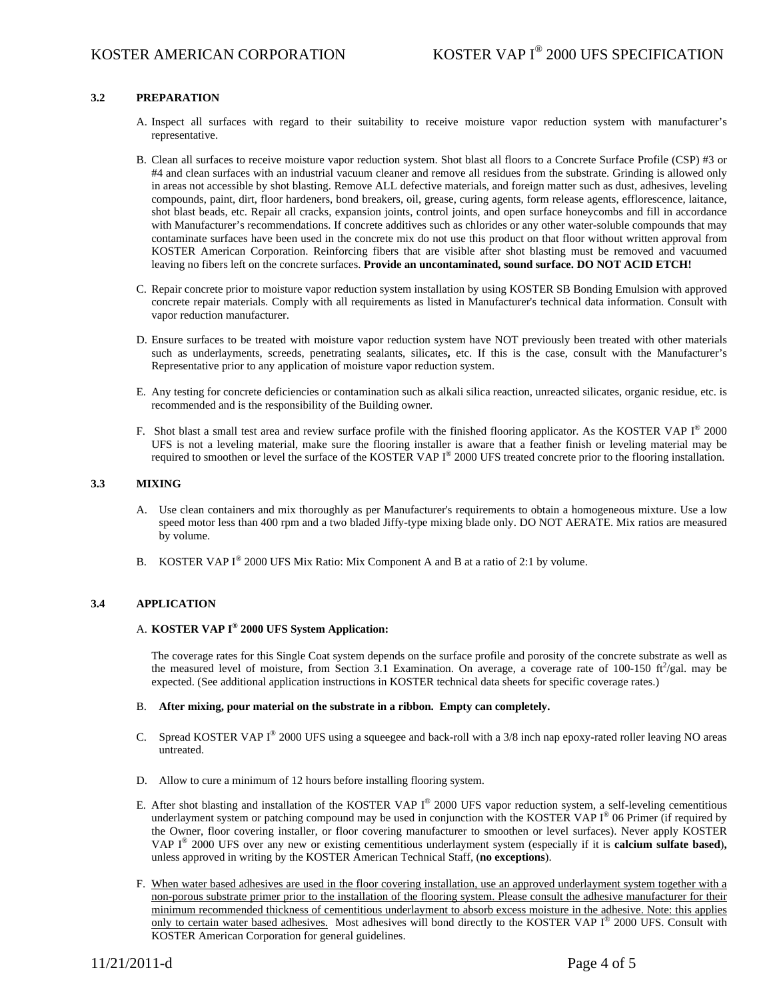# **3.2 PREPARATION**

- A. Inspect all surfaces with regard to their suitability to receive moisture vapor reduction system with manufacturer's representative.
- B. Clean all surfaces to receive moisture vapor reduction system. Shot blast all floors to a Concrete Surface Profile (CSP) #3 or #4 and clean surfaces with an industrial vacuum cleaner and remove all residues from the substrate. Grinding is allowed only in areas not accessible by shot blasting. Remove ALL defective materials, and foreign matter such as dust, adhesives, leveling compounds, paint, dirt, floor hardeners, bond breakers, oil, grease, curing agents, form release agents, efflorescence, laitance, shot blast beads, etc. Repair all cracks, expansion joints, control joints, and open surface honeycombs and fill in accordance with Manufacturer's recommendations. If concrete additives such as chlorides or any other water-soluble compounds that may contaminate surfaces have been used in the concrete mix do not use this product on that floor without written approval from KOSTER American Corporation. Reinforcing fibers that are visible after shot blasting must be removed and vacuumed leaving no fibers left on the concrete surfaces. **Provide an uncontaminated, sound surface. DO NOT ACID ETCH!**
- C. Repair concrete prior to moisture vapor reduction system installation by using KOSTER SB Bonding Emulsion with approved concrete repair materials. Comply with all requirements as listed in Manufacturer's technical data information. Consult with vapor reduction manufacturer.
- D. Ensure surfaces to be treated with moisture vapor reduction system have NOT previously been treated with other materials such as underlayments, screeds, penetrating sealants, silicates**,** etc. If this is the case, consult with the Manufacturer's Representative prior to any application of moisture vapor reduction system.
- E. Any testing for concrete deficiencies or contamination such as alkali silica reaction, unreacted silicates, organic residue, etc. is recommended and is the responsibility of the Building owner.
- F. Shot blast a small test area and review surface profile with the finished flooring applicator. As the KOSTER VAP I<sup>®</sup> 2000 UFS is not a leveling material, make sure the flooring installer is aware that a feather finish or leveling material may be required to smoothen or level the surface of the KOSTER VAP I® 2000 UFS treated concrete prior to the flooring installation.

## **3.3 MIXING**

- A. Use clean containers and mix thoroughly as per Manufacturer's requirements to obtain a homogeneous mixture. Use a low speed motor less than 400 rpm and a two bladed Jiffy-type mixing blade only. DO NOT AERATE. Mix ratios are measured by volume.
- B. KOSTER VAP I<sup>®</sup> 2000 UFS Mix Ratio: Mix Component A and B at a ratio of 2:1 by volume.

## **3.4 APPLICATION**

# A. **KOSTER VAP I® 2000 UFS System Application:**

The coverage rates for this Single Coat system depends on the surface profile and porosity of the concrete substrate as well as the measured level of moisture, from Section 3.1 Examination. On average, a coverage rate of 100-150  $\text{ft}^2/\text{gal}$ . may be expected. (See additional application instructions in KOSTER technical data sheets for specific coverage rates.)

#### B. **After mixing, pour material on the substrate in a ribbon. Empty can completely.**

- C. Spread KOSTER VAP  $I^{\circledast}$  2000 UFS using a squeegee and back-roll with a 3/8 inch nap epoxy-rated roller leaving NO areas untreated.
- D. Allow to cure a minimum of 12 hours before installing flooring system.
- E. After shot blasting and installation of the KOSTER VAP I® 2000 UFS vapor reduction system, a self-leveling cementitious underlayment system or patching compound may be used in conjunction with the KOSTER VAP  $I^{\circ}$  06 Primer (if required by the Owner, floor covering installer, or floor covering manufacturer to smoothen or level surfaces). Never apply KOSTER VAP I® 2000 UFS over any new or existing cementitious underlayment system (especially if it is **calcium sulfate based**)**,** unless approved in writing by the KOSTER American Technical Staff, (**no exceptions**).
- F. When water based adhesives are used in the floor covering installation, use an approved underlayment system together with a non-porous substrate primer prior to the installation of the flooring system. Please consult the adhesive manufacturer for their minimum recommended thickness of cementitious underlayment to absorb excess moisture in the adhesive. Note: this applies only to certain water based adhesives. Most adhesives will bond directly to the KOSTER VAP I<sup>®</sup> 2000 UFS. Consult with KOSTER American Corporation for general guidelines.